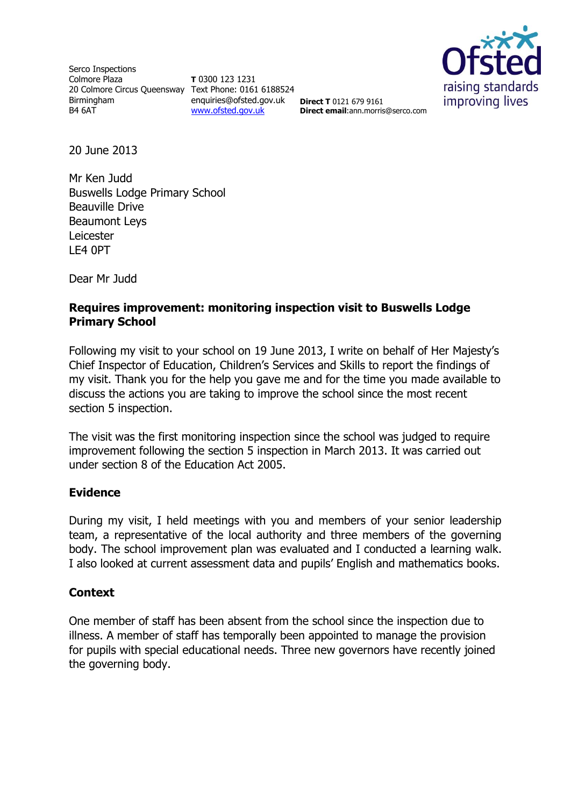Serco Inspections Colmore Plaza 20 Colmore Circus Queensway Text Phone: 0161 6188524 Birmingham B4 6AT

**T** 0300 123 1231 enquiries@ofsted.gov.uk [www.ofsted.gov.uk](http://www.ofsted.gov.uk/)



**Direct T** 0121 679 9161 **Direct email**:ann.morris@serco.com

20 June 2013

Mr Ken Judd Buswells Lodge Primary School Beauville Drive Beaumont Leys Leicester LE4 0PT

Dear Mr Judd

# **Requires improvement: monitoring inspection visit to Buswells Lodge Primary School**

Following my visit to your school on 19 June 2013, I write on behalf of Her Majesty's Chief Inspector of Education, Children's Services and Skills to report the findings of my visit. Thank you for the help you gave me and for the time you made available to discuss the actions you are taking to improve the school since the most recent section 5 inspection.

The visit was the first monitoring inspection since the school was judged to require improvement following the section 5 inspection in March 2013. It was carried out under section 8 of the Education Act 2005.

# **Evidence**

During my visit, I held meetings with you and members of your senior leadership team, a representative of the local authority and three members of the governing body. The school improvement plan was evaluated and I conducted a learning walk. I also looked at current assessment data and pupils' English and mathematics books.

# **Context**

One member of staff has been absent from the school since the inspection due to illness. A member of staff has temporally been appointed to manage the provision for pupils with special educational needs. Three new governors have recently joined the governing body.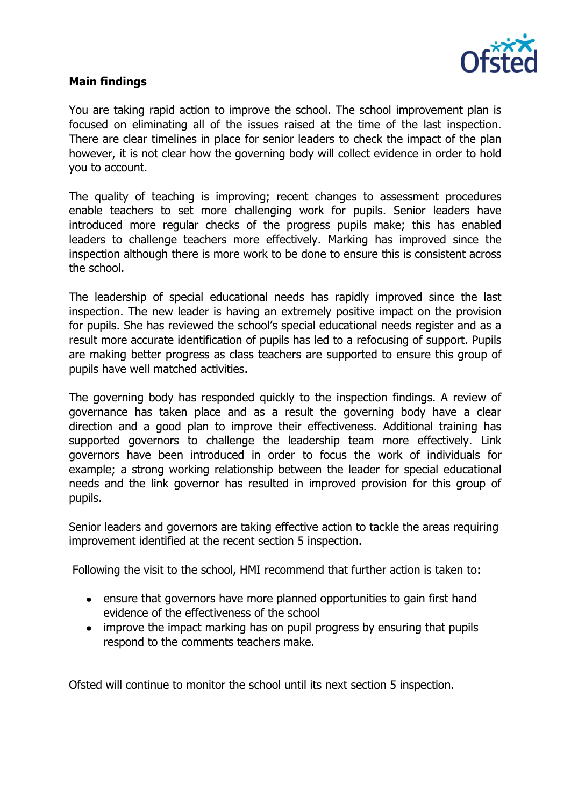

## **Main findings**

You are taking rapid action to improve the school. The school improvement plan is focused on eliminating all of the issues raised at the time of the last inspection. There are clear timelines in place for senior leaders to check the impact of the plan however, it is not clear how the governing body will collect evidence in order to hold you to account.

The quality of teaching is improving; recent changes to assessment procedures enable teachers to set more challenging work for pupils. Senior leaders have introduced more regular checks of the progress pupils make; this has enabled leaders to challenge teachers more effectively. Marking has improved since the inspection although there is more work to be done to ensure this is consistent across the school.

The leadership of special educational needs has rapidly improved since the last inspection. The new leader is having an extremely positive impact on the provision for pupils. She has reviewed the school's special educational needs register and as a result more accurate identification of pupils has led to a refocusing of support. Pupils are making better progress as class teachers are supported to ensure this group of pupils have well matched activities.

The governing body has responded quickly to the inspection findings. A review of governance has taken place and as a result the governing body have a clear direction and a good plan to improve their effectiveness. Additional training has supported governors to challenge the leadership team more effectively. Link governors have been introduced in order to focus the work of individuals for example; a strong working relationship between the leader for special educational needs and the link governor has resulted in improved provision for this group of pupils.

Senior leaders and governors are taking effective action to tackle the areas requiring improvement identified at the recent section 5 inspection.

Following the visit to the school, HMI recommend that further action is taken to:

- ensure that governors have more planned opportunities to gain first hand evidence of the effectiveness of the school
- improve the impact marking has on pupil progress by ensuring that pupils respond to the comments teachers make.

Ofsted will continue to monitor the school until its next section 5 inspection.